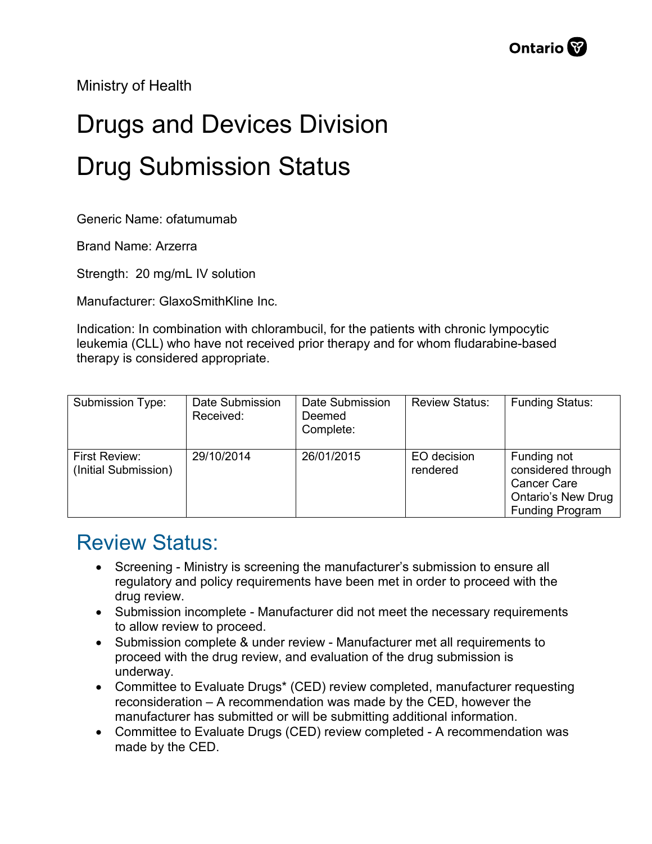Ministry of Health

## Drugs and Devices Division Drug Submission Status

Generic Name: ofatumumab

Brand Name: Arzerra

Strength: 20 mg/mL IV solution

Manufacturer: GlaxoSmithKline Inc.

Indication: In combination with chlorambucil, for the patients with chronic lympocytic leukemia (CLL) who have not received prior therapy and for whom fludarabine-based therapy is considered appropriate.

| Submission Type:                      | Date Submission<br>Received: | Date Submission<br>Deemed<br>Complete: | <b>Review Status:</b>   | <b>Funding Status:</b>                                                                                         |
|---------------------------------------|------------------------------|----------------------------------------|-------------------------|----------------------------------------------------------------------------------------------------------------|
| First Review:<br>(Initial Submission) | 29/10/2014                   | 26/01/2015                             | EO decision<br>rendered | Funding not<br>considered through<br><b>Cancer Care</b><br><b>Ontario's New Drug</b><br><b>Funding Program</b> |

## Review Status:

- Screening Ministry is screening the manufacturer's submission to ensure all regulatory and policy requirements have been met in order to proceed with the drug review.
- Submission incomplete Manufacturer did not meet the necessary requirements to allow review to proceed.
- Submission complete & under review Manufacturer met all requirements to proceed with the drug review, and evaluation of the drug submission is underway.
- Committee to Evaluate Drugs\* (CED) review completed, manufacturer requesting reconsideration – A recommendation was made by the CED, however the manufacturer has submitted or will be submitting additional information.
- Committee to Evaluate Drugs (CED) review completed A recommendation was made by the CED.